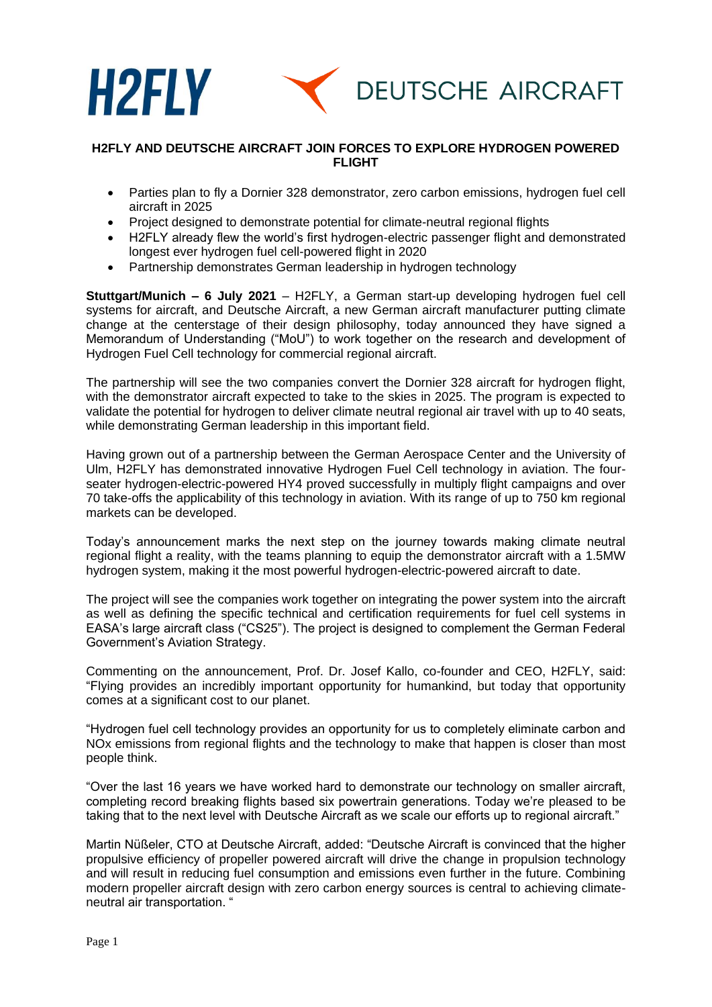

## **H2FLY AND DEUTSCHE AIRCRAFT JOIN FORCES TO EXPLORE HYDROGEN POWERED FLIGHT**

- Parties plan to fly a Dornier 328 demonstrator, zero carbon emissions, hydrogen fuel cell aircraft in 2025
- Project designed to demonstrate potential for climate-neutral regional flights
- H2FLY already flew the world's first hydrogen-electric passenger flight and demonstrated longest ever hydrogen fuel cell-powered flight in 2020
- Partnership demonstrates German leadership in hydrogen technology

**Stuttgart/Munich – 6 July 2021** – H2FLY, a German start-up developing hydrogen fuel cell systems for aircraft, and Deutsche Aircraft, a new German aircraft manufacturer putting climate change at the centerstage of their design philosophy, today announced they have signed a Memorandum of Understanding ("MoU") to work together on the research and development of Hydrogen Fuel Cell technology for commercial regional aircraft.

The partnership will see the two companies convert the Dornier 328 aircraft for hydrogen flight, with the demonstrator aircraft expected to take to the skies in 2025. The program is expected to validate the potential for hydrogen to deliver climate neutral regional air travel with up to 40 seats, while demonstrating German leadership in this important field.

Having grown out of a partnership between the German Aerospace Center and the University of Ulm, H2FLY has demonstrated innovative Hydrogen Fuel Cell technology in aviation. The fourseater hydrogen-electric-powered HY4 proved successfully in multiply flight campaigns and over 70 take-offs the applicability of this technology in aviation. With its range of up to 750 km regional markets can be developed.

Today's announcement marks the next step on the journey towards making climate neutral regional flight a reality, with the teams planning to equip the demonstrator aircraft with a 1.5MW hydrogen system, making it the most powerful hydrogen-electric-powered aircraft to date.

The project will see the companies work together on integrating the power system into the aircraft as well as defining the specific technical and certification requirements for fuel cell systems in EASA's large aircraft class ("CS25"). The project is designed to complement the German Federal Government's Aviation Strategy.

Commenting on the announcement, Prof. Dr. Josef Kallo, co-founder and CEO, H2FLY, said: "Flying provides an incredibly important opportunity for humankind, but today that opportunity comes at a significant cost to our planet.

"Hydrogen fuel cell technology provides an opportunity for us to completely eliminate carbon and NOx emissions from regional flights and the technology to make that happen is closer than most people think.

"Over the last 16 years we have worked hard to demonstrate our technology on smaller aircraft, completing record breaking flights based six powertrain generations. Today we're pleased to be taking that to the next level with Deutsche Aircraft as we scale our efforts up to regional aircraft."

Martin Nüßeler, CTO at Deutsche Aircraft, added: "Deutsche Aircraft is convinced that the higher propulsive efficiency of propeller powered aircraft will drive the change in propulsion technology and will result in reducing fuel consumption and emissions even further in the future. Combining modern propeller aircraft design with zero carbon energy sources is central to achieving climateneutral air transportation. "